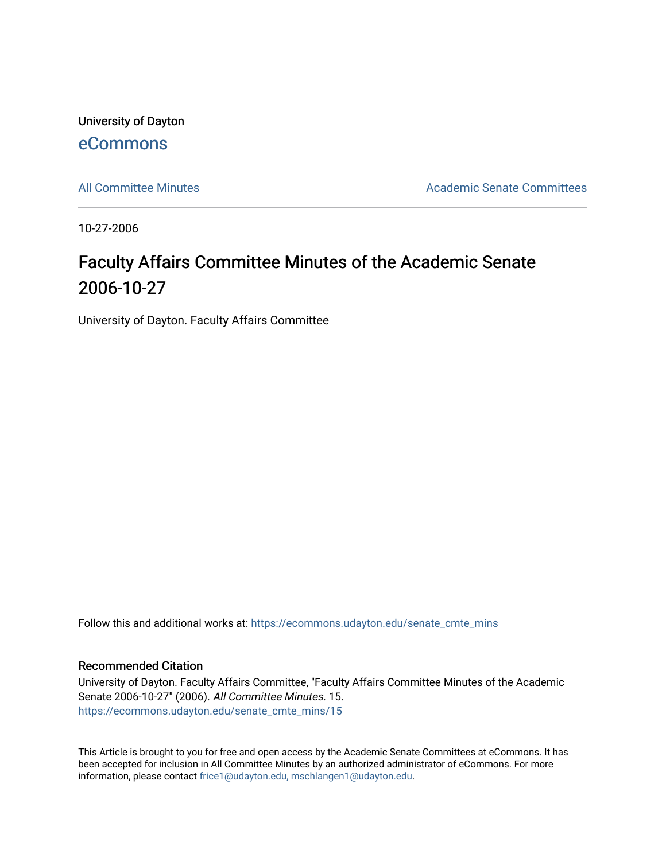University of Dayton [eCommons](https://ecommons.udayton.edu/)

[All Committee Minutes](https://ecommons.udayton.edu/senate_cmte_mins) **Academic Senate Committees** Academic Senate Committees

10-27-2006

# Faculty Affairs Committee Minutes of the Academic Senate 2006-10-27

University of Dayton. Faculty Affairs Committee

Follow this and additional works at: [https://ecommons.udayton.edu/senate\\_cmte\\_mins](https://ecommons.udayton.edu/senate_cmte_mins?utm_source=ecommons.udayton.edu%2Fsenate_cmte_mins%2F15&utm_medium=PDF&utm_campaign=PDFCoverPages)

#### Recommended Citation

University of Dayton. Faculty Affairs Committee, "Faculty Affairs Committee Minutes of the Academic Senate 2006-10-27" (2006). All Committee Minutes. 15. [https://ecommons.udayton.edu/senate\\_cmte\\_mins/15](https://ecommons.udayton.edu/senate_cmte_mins/15?utm_source=ecommons.udayton.edu%2Fsenate_cmte_mins%2F15&utm_medium=PDF&utm_campaign=PDFCoverPages) 

This Article is brought to you for free and open access by the Academic Senate Committees at eCommons. It has been accepted for inclusion in All Committee Minutes by an authorized administrator of eCommons. For more information, please contact [frice1@udayton.edu, mschlangen1@udayton.edu](mailto:frice1@udayton.edu,%20mschlangen1@udayton.edu).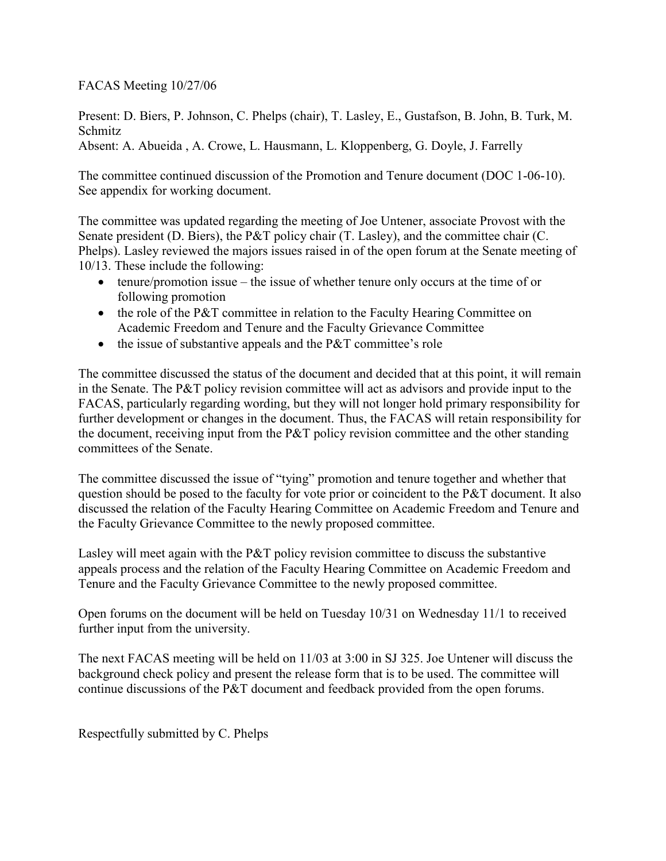FACAS Meeting 10/27/06

Present: D. Biers, P. Johnson, C. Phelps (chair), T. Lasley, E., Gustafson, B. John, B. Turk, M. Schmitz

Absent: A. Abueida , A. Crowe, L. Hausmann, L. Kloppenberg, G. Doyle, J. Farrelly

The committee continued discussion of the Promotion and Tenure document (DOC 1-06-10). See appendix for working document.

The committee was updated regarding the meeting of Joe Untener, associate Provost with the Senate president (D. Biers), the P&T policy chair (T. Lasley), and the committee chair (C. Phelps). Lasley reviewed the majors issues raised in of the open forum at the Senate meeting of 10/13. These include the following:

- $\bullet$  tenure/promotion issue the issue of whether tenure only occurs at the time of or following promotion
- the role of the P&T committee in relation to the Faculty Hearing Committee on Academic Freedom and Tenure and the Faculty Grievance Committee
- the issue of substantive appeals and the P&T committee's role

The committee discussed the status of the document and decided that at this point, it will remain in the Senate. The P&T policy revision committee will act as advisors and provide input to the FACAS, particularly regarding wording, but they will not longer hold primary responsibility for further development or changes in the document. Thus, the FACAS will retain responsibility for the document, receiving input from the P&T policy revision committee and the other standing committees of the Senate.

The committee discussed the issue of "tying" promotion and tenure together and whether that question should be posed to the faculty for vote prior or coincident to the P&T document. It also discussed the relation of the Faculty Hearing Committee on Academic Freedom and Tenure and the Faculty Grievance Committee to the newly proposed committee.

Lasley will meet again with the P&T policy revision committee to discuss the substantive appeals process and the relation of the Faculty Hearing Committee on Academic Freedom and Tenure and the Faculty Grievance Committee to the newly proposed committee.

Open forums on the document will be held on Tuesday 10/31 on Wednesday 11/1 to received further input from the university.

The next FACAS meeting will be held on 11/03 at 3:00 in SJ 325. Joe Untener will discuss the background check policy and present the release form that is to be used. The committee will continue discussions of the P&T document and feedback provided from the open forums.

Respectfully submitted by C. Phelps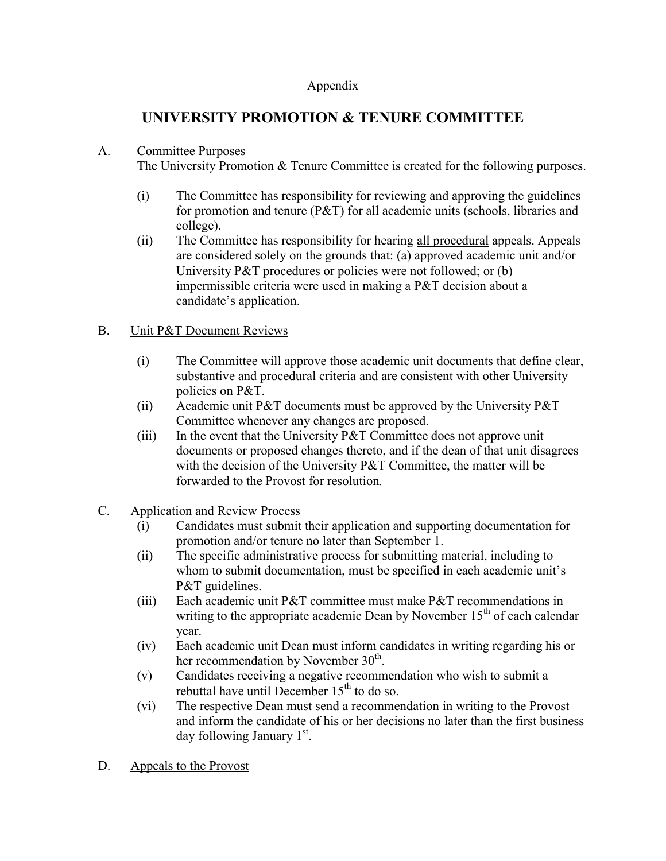### Appendix

## **UNIVERSITY PROMOTION & TENURE COMMITTEE**

### A. Committee Purposes

The University Promotion & Tenure Committee is created for the following purposes.

- (i) The Committee has responsibility for reviewing and approving the guidelines for promotion and tenure (P&T) for all academic units (schools, libraries and college).
- (ii) The Committee has responsibility for hearing all procedural appeals. Appeals are considered solely on the grounds that: (a) approved academic unit and/or University P&T procedures or policies were not followed; or (b) impermissible criteria were used in making a P&T decision about a candidate's application.

### B. Unit P&T Document Reviews

- (i) The Committee will approve those academic unit documents that define clear, substantive and procedural criteria and are consistent with other University policies on P&T.
- (ii) Academic unit P&T documents must be approved by the University P&T Committee whenever any changes are proposed.
- (iii) In the event that the University  $P\&T$  Committee does not approve unit documents or proposed changes thereto, and if the dean of that unit disagrees with the decision of the University P&T Committee, the matter will be forwarded to the Provost for resolution*.*
- C. Application and Review Process
	- (i) Candidates must submit their application and supporting documentation for promotion and/or tenure no later than September 1.
	- (ii) The specific administrative process for submitting material, including to whom to submit documentation, must be specified in each academic unit's P&T guidelines.
	- (iii) Each academic unit P&T committee must make P&T recommendations in writing to the appropriate academic Dean by November  $15<sup>th</sup>$  of each calendar year.
	- (iv) Each academic unit Dean must inform candidates in writing regarding his or her recommendation by November  $30<sup>th</sup>$ .
	- (v) Candidates receiving a negative recommendation who wish to submit a rebuttal have until December  $15<sup>th</sup>$  to do so.
	- (vi) The respective Dean must send a recommendation in writing to the Provost and inform the candidate of his or her decisions no later than the first business day following January 1<sup>st</sup>.
- D. Appeals to the Provost